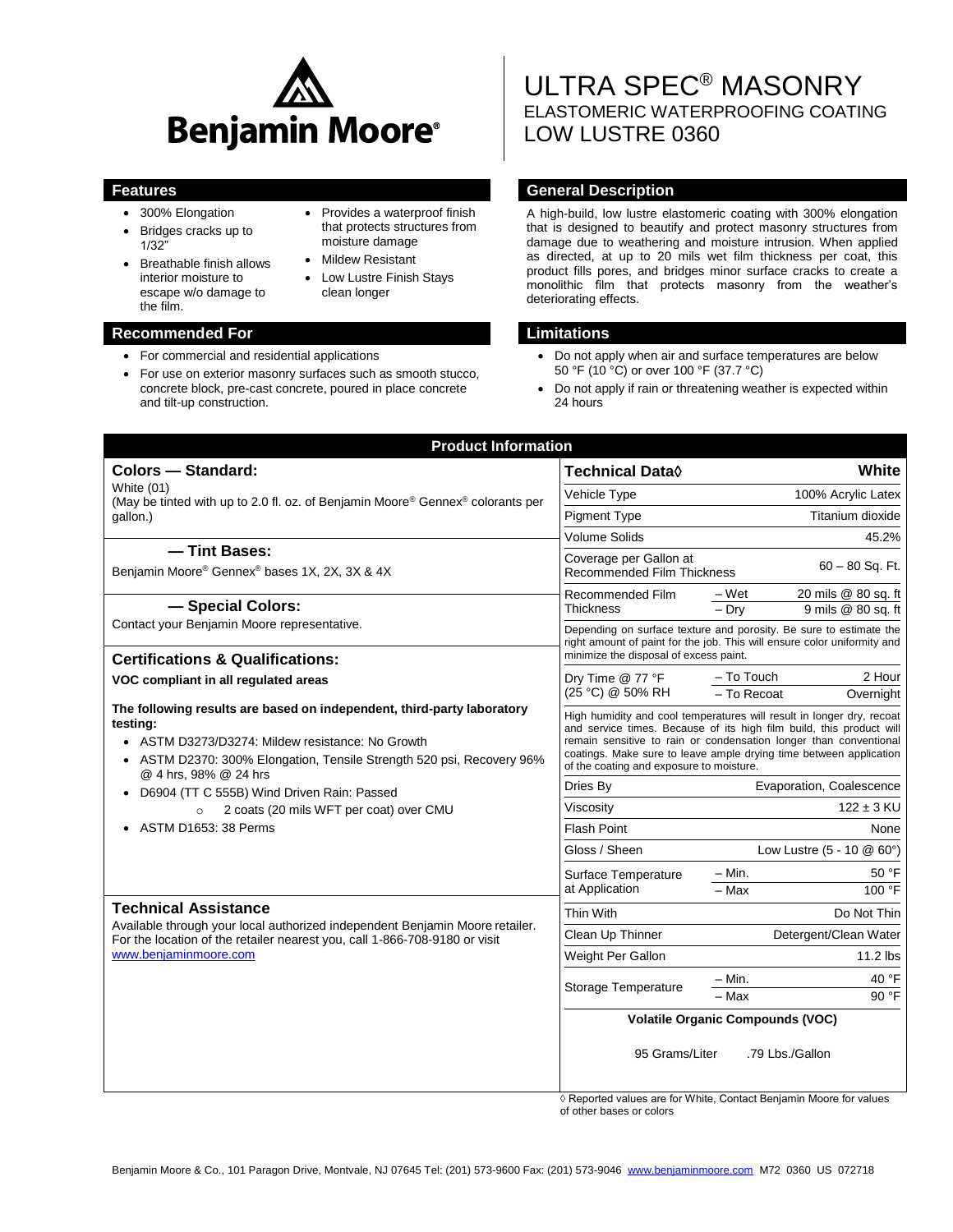

- 300% Elongation
- Bridges cracks up to 1/32"
- Breathable finish allows interior moisture to escape w/o damage to the film.
- Provides a waterproof finish that protects structures from moisture damage
- Mildew Resistant
- Low Lustre Finish Stays clean longer

## **Recommended For Limitations**

- For commercial and residential applications
- For use on exterior masonry surfaces such as smooth stucco, concrete block, pre-cast concrete, poured in place concrete and tilt-up construction.

# ULTRA SPEC® MASONRY ELASTOMERIC WATERPROOFING COATING LOW LUSTRE 0360

## **Features General Description**

A high-build, low lustre elastomeric coating with 300% elongation that is designed to beautify and protect masonry structures from damage due to weathering and moisture intrusion. When applied as directed, at up to 20 mils wet film thickness per coat, this product fills pores, and bridges minor surface cracks to create a monolithic film that protects masonry from the weather's deteriorating effects.

- Do not apply when air and surface temperatures are below 50 °F (10 °C) or over 100 °F (37.7 °C)
- Do not apply if rain or threatening weather is expected within 24 hours

| <b>Product Information</b>                                                                                                                                                                                                             |                                                                                                                                                                                                                                                                                                                                      |                                                              |
|----------------------------------------------------------------------------------------------------------------------------------------------------------------------------------------------------------------------------------------|--------------------------------------------------------------------------------------------------------------------------------------------------------------------------------------------------------------------------------------------------------------------------------------------------------------------------------------|--------------------------------------------------------------|
| <b>Colors - Standard:</b>                                                                                                                                                                                                              | Technical Data <b>◊</b>                                                                                                                                                                                                                                                                                                              | White                                                        |
| White (01)<br>(May be tinted with up to 2.0 fl. oz. of Benjamin Moore® Gennex® colorants per<br>qallon.)                                                                                                                               | Vehicle Type                                                                                                                                                                                                                                                                                                                         | 100% Acrylic Latex                                           |
|                                                                                                                                                                                                                                        | <b>Pigment Type</b>                                                                                                                                                                                                                                                                                                                  | Titanium dioxide                                             |
|                                                                                                                                                                                                                                        | <b>Volume Solids</b>                                                                                                                                                                                                                                                                                                                 | 45.2%                                                        |
| - Tint Bases:<br>Benjamin Moore® Gennex® bases 1X, 2X, 3X & 4X                                                                                                                                                                         | Coverage per Gallon at<br><b>Recommended Film Thickness</b>                                                                                                                                                                                                                                                                          | $60 - 80$ Sq. Ft.                                            |
| - Special Colors:                                                                                                                                                                                                                      | Recommended Film<br>Thickness                                                                                                                                                                                                                                                                                                        | 20 mils @ 80 sq. ft<br>– Wet<br>$-Dry$<br>9 mils @ 80 sq. ft |
| Contact your Benjamin Moore representative.                                                                                                                                                                                            | Depending on surface texture and porosity. Be sure to estimate the<br>right amount of paint for the job. This will ensure color uniformity and                                                                                                                                                                                       |                                                              |
| <b>Certifications &amp; Qualifications:</b>                                                                                                                                                                                            | minimize the disposal of excess paint.                                                                                                                                                                                                                                                                                               |                                                              |
| VOC compliant in all regulated areas                                                                                                                                                                                                   | Dry Time @ 77 °F<br>(25 °C) @ 50% RH                                                                                                                                                                                                                                                                                                 | - To Touch<br>2 Hour<br>- To Recoat<br>Overnight             |
| The following results are based on independent, third-party laboratory<br>testing:<br>• ASTM D3273/D3274: Mildew resistance: No Growth<br>ASTM D2370: 300% Elongation, Tensile Strength 520 psi, Recovery 96%<br>@ 4 hrs, 98% @ 24 hrs | High humidity and cool temperatures will result in longer dry, recoat<br>and service times. Because of its high film build, this product will<br>remain sensitive to rain or condensation longer than conventional<br>coatings. Make sure to leave ample drying time between application<br>of the coating and exposure to moisture. |                                                              |
| • D6904 (TT C 555B) Wind Driven Rain: Passed<br>2 coats (20 mils WFT per coat) over CMU                                                                                                                                                | Dries By                                                                                                                                                                                                                                                                                                                             | Evaporation, Coalescence                                     |
|                                                                                                                                                                                                                                        | Viscosity                                                                                                                                                                                                                                                                                                                            | $122 \pm 3$ KU                                               |
| ASTM D1653: 38 Perms                                                                                                                                                                                                                   | <b>Flash Point</b>                                                                                                                                                                                                                                                                                                                   | None                                                         |
|                                                                                                                                                                                                                                        | Gloss / Sheen                                                                                                                                                                                                                                                                                                                        | Low Lustre (5 - 10 @ 60°)                                    |
|                                                                                                                                                                                                                                        | Surface Temperature<br>at Application                                                                                                                                                                                                                                                                                                | $-$ Min.<br>50 °F<br>100 °F<br>- Max                         |
| <b>Technical Assistance</b><br>Available through your local authorized independent Benjamin Moore retailer.<br>For the location of the retailer nearest you, call 1-866-708-9180 or visit<br>www.benjaminmoore.com                     | Thin With                                                                                                                                                                                                                                                                                                                            | Do Not Thin                                                  |
|                                                                                                                                                                                                                                        | Clean Up Thinner                                                                                                                                                                                                                                                                                                                     | Detergent/Clean Water                                        |
|                                                                                                                                                                                                                                        | Weight Per Gallon                                                                                                                                                                                                                                                                                                                    | $11.2$ lbs                                                   |
|                                                                                                                                                                                                                                        | Storage Temperature                                                                                                                                                                                                                                                                                                                  | $- Min.$<br>40 °F                                            |
|                                                                                                                                                                                                                                        |                                                                                                                                                                                                                                                                                                                                      | 90 °F<br>$-$ Max                                             |
|                                                                                                                                                                                                                                        | <b>Volatile Organic Compounds (VOC)</b><br>95 Grams/Liter<br>.79 Lbs./Gallon                                                                                                                                                                                                                                                         |                                                              |
|                                                                                                                                                                                                                                        |                                                                                                                                                                                                                                                                                                                                      |                                                              |

◊ Reported values are for White, Contact Benjamin Moore for values of other bases or colors